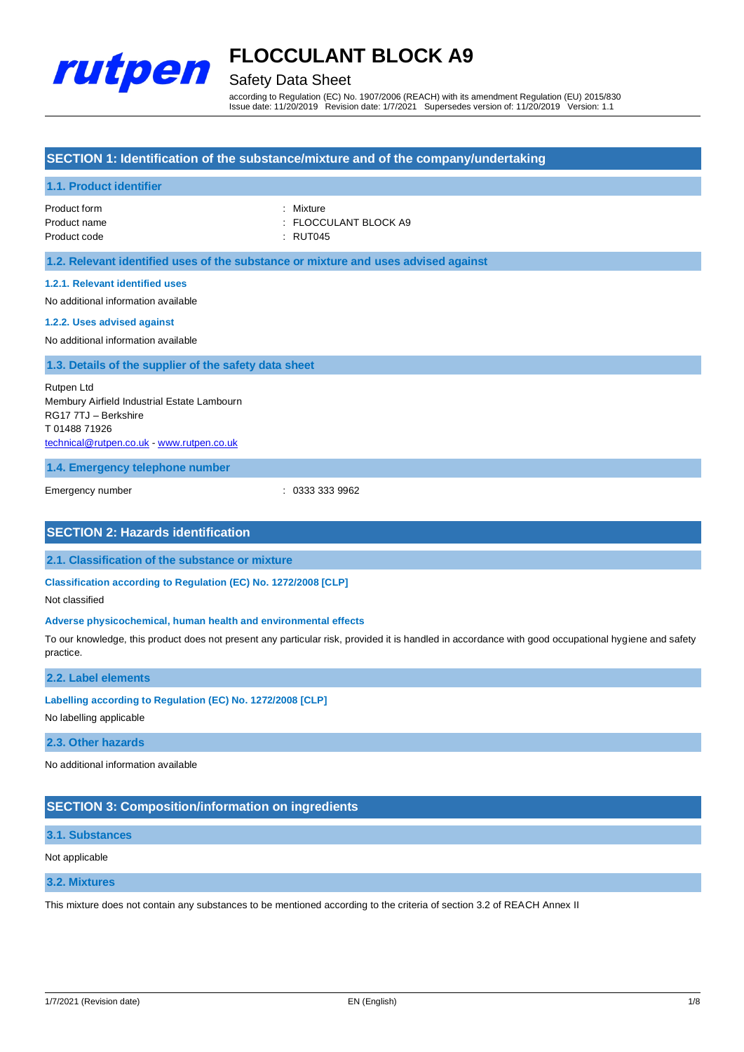

# Safety Data Sheet

according to Regulation (EC) No. 1907/2006 (REACH) with its amendment Regulation (EU) 2015/830 Issue date: 11/20/2019 Revision date: 1/7/2021 Supersedes version of: 11/20/2019 Version: 1.1

# **SECTION 1: Identification of the substance/mixture and of the company/undertaking**

## **1.1. Product identifier**

Product form **: Mixture** : Mixture Product code : RUT045

Product name : FLOCCULANT BLOCK A9

**1.2. Relevant identified uses of the substance or mixture and uses advised against**

### **1.2.1. Relevant identified uses**

No additional information available

#### **1.2.2. Uses advised against**

No additional information available

## **1.3. Details of the supplier of the safety data sheet**

Rutpen Ltd Membury Airfield Industrial Estate Lambourn RG17 7TJ – Berkshire T 01488 71926 [technical@rutpen.co.uk](mailto:technical@rutpen.co.uk) - [www.rutpen.co.uk](http://www.rutpen.co.uk/)

**1.4. Emergency telephone number**

Emergency number : 0333 333 9962

## **SECTION 2: Hazards identification**

**2.1. Classification of the substance or mixture**

**Classification according to Regulation (EC) No. 1272/2008 [CLP]**

Not classified

#### **Adverse physicochemical, human health and environmental effects**

To our knowledge, this product does not present any particular risk, provided it is handled in accordance with good occupational hygiene and safety practice.

### **2.2. Label elements**

#### **Labelling according to Regulation (EC) No. 1272/2008 [CLP]**

No labelling applicable

#### **2.3. Other hazards**

No additional information available

# **SECTION 3: Composition/information on ingredients**

## **3.1. Substances**

### Not applicable

### **3.2. Mixtures**

This mixture does not contain any substances to be mentioned according to the criteria of section 3.2 of REACH Annex II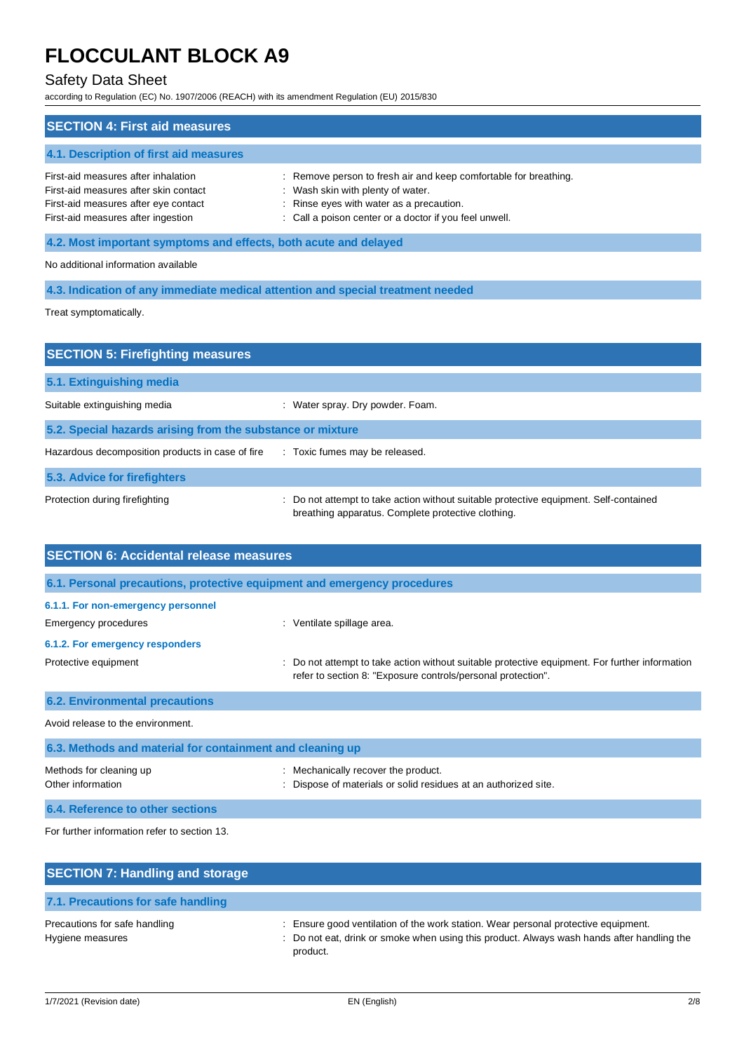# Safety Data Sheet

according to Regulation (EC) No. 1907/2006 (REACH) with its amendment Regulation (EU) 2015/830

| <b>SECTION 4: First aid measures</b>                                                                                                                       |                                                                                                                                                                                                             |  |  |
|------------------------------------------------------------------------------------------------------------------------------------------------------------|-------------------------------------------------------------------------------------------------------------------------------------------------------------------------------------------------------------|--|--|
| 4.1. Description of first aid measures                                                                                                                     |                                                                                                                                                                                                             |  |  |
| First-aid measures after inhalation<br>First-aid measures after skin contact<br>First-aid measures after eye contact<br>First-aid measures after ingestion | : Remove person to fresh air and keep comfortable for breathing.<br>: Wash skin with plenty of water.<br>: Rinse eyes with water as a precaution.<br>: Call a poison center or a doctor if you feel unwell. |  |  |
| 4.2. Most important symptoms and effects, both acute and delayed                                                                                           |                                                                                                                                                                                                             |  |  |
| No additional information available                                                                                                                        |                                                                                                                                                                                                             |  |  |
| 4.3. Indication of any immediate medical attention and special treatment needed                                                                            |                                                                                                                                                                                                             |  |  |

Treat symptomatically.

| <b>SECTION 5: Firefighting measures</b>                    |                                                                                                                                             |
|------------------------------------------------------------|---------------------------------------------------------------------------------------------------------------------------------------------|
| 5.1. Extinguishing media                                   |                                                                                                                                             |
| Suitable extinguishing media                               | : Water spray. Dry powder. Foam.                                                                                                            |
| 5.2. Special hazards arising from the substance or mixture |                                                                                                                                             |
| Hazardous decomposition products in case of fire           | : Toxic fumes may be released.                                                                                                              |
| 5.3. Advice for firefighters                               |                                                                                                                                             |
| Protection during firefighting                             | : Do not attempt to take action without suitable protective equipment. Self-contained<br>breathing apparatus. Complete protective clothing. |

| <b>SECTION 6: Accidental release measures</b>                            |                                                                                                                                                                |  |  |
|--------------------------------------------------------------------------|----------------------------------------------------------------------------------------------------------------------------------------------------------------|--|--|
| 6.1. Personal precautions, protective equipment and emergency procedures |                                                                                                                                                                |  |  |
| 6.1.1. For non-emergency personnel                                       |                                                                                                                                                                |  |  |
| Emergency procedures                                                     | : Ventilate spillage area.                                                                                                                                     |  |  |
| 6.1.2. For emergency responders                                          |                                                                                                                                                                |  |  |
| Protective equipment                                                     | : Do not attempt to take action without suitable protective equipment. For further information<br>refer to section 8: "Exposure controls/personal protection". |  |  |
| <b>6.2. Environmental precautions</b>                                    |                                                                                                                                                                |  |  |
| Avoid release to the environment.                                        |                                                                                                                                                                |  |  |
| 6.3. Methods and material for containment and cleaning up                |                                                                                                                                                                |  |  |
| Methods for cleaning up<br>Other information                             | : Mechanically recover the product.<br>Dispose of materials or solid residues at an authorized site.                                                           |  |  |
| 6.4. Reference to other sections                                         |                                                                                                                                                                |  |  |

For further information refer to section 13.

| <b>SECTION 7: Handling and storage</b>            |                                                                                                                                                                                              |
|---------------------------------------------------|----------------------------------------------------------------------------------------------------------------------------------------------------------------------------------------------|
| 7.1. Precautions for safe handling                |                                                                                                                                                                                              |
| Precautions for safe handling<br>Hygiene measures | : Ensure good ventilation of the work station. Wear personal protective equipment.<br>: Do not eat, drink or smoke when using this product. Always wash hands after handling the<br>product. |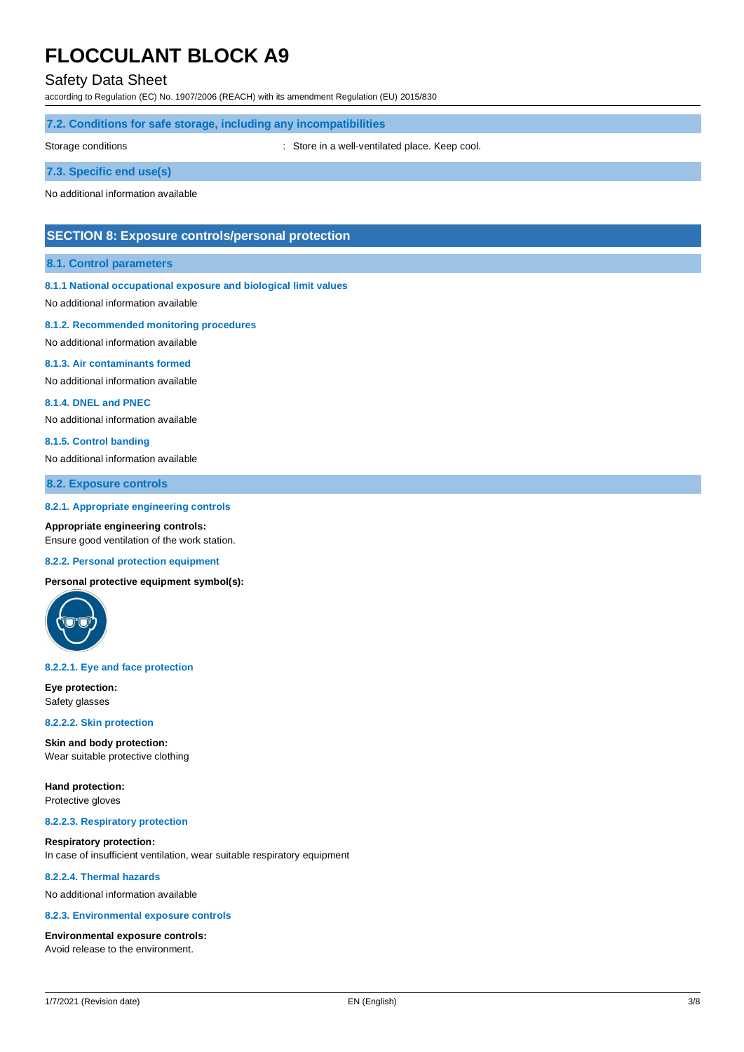# Safety Data Sheet

according to Regulation (EC) No. 1907/2006 (REACH) with its amendment Regulation (EU) 2015/830

## **7.2. Conditions for safe storage, including any incompatibilities**

Storage conditions **Storage conditions** : Store in a well-ventilated place. Keep cool.

# **7.3. Specific end use(s)**

No additional information available

# **SECTION 8: Exposure controls/personal protection**

### **8.1. Control parameters**

### **8.1.1 National occupational exposure and biological limit values**

No additional information available

#### **8.1.2. Recommended monitoring procedures**

No additional information available

#### **8.1.3. Air contaminants formed**

No additional information available

#### **8.1.4. DNEL and PNEC**

No additional information available

#### **8.1.5. Control banding**

No additional information available

# **8.2. Exposure controls**

#### **8.2.1. Appropriate engineering controls**

**Appropriate engineering controls:** Ensure good ventilation of the work station.

#### **8.2.2. Personal protection equipment**

**Personal protective equipment symbol(s):**



#### **8.2.2.1. Eye and face protection**

**Eye protection:** Safety glasses

#### **8.2.2.2. Skin protection**

**Skin and body protection:** Wear suitable protective clothing

**Hand protection:** Protective gloves

#### **8.2.2.3. Respiratory protection**

**Respiratory protection:** In case of insufficient ventilation, wear suitable respiratory equipment

## **8.2.2.4. Thermal hazards**

No additional information available

#### **8.2.3. Environmental exposure controls**

#### **Environmental exposure controls:**

Avoid release to the environment.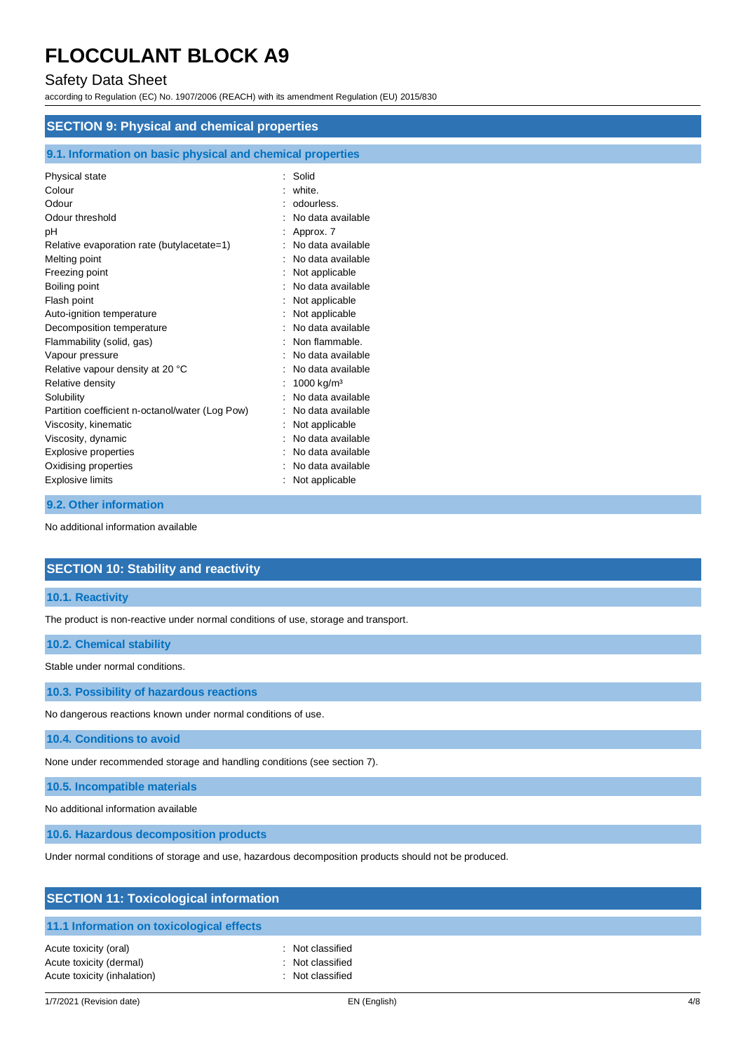# Safety Data Sheet

according to Regulation (EC) No. 1907/2006 (REACH) with its amendment Regulation (EU) 2015/830

| <b>SECTION 9: Physical and chemical properties</b>         |                        |  |  |  |
|------------------------------------------------------------|------------------------|--|--|--|
| 9.1. Information on basic physical and chemical properties |                        |  |  |  |
| Physical state                                             | Solid                  |  |  |  |
| Colour                                                     | white.                 |  |  |  |
| Odour                                                      | odourless.             |  |  |  |
| Odour threshold                                            | No data available      |  |  |  |
| рH                                                         | Approx. 7              |  |  |  |
| Relative evaporation rate (butylacetate=1)                 | No data available      |  |  |  |
| Melting point                                              | No data available      |  |  |  |
| Freezing point                                             | Not applicable         |  |  |  |
| Boiling point                                              | No data available      |  |  |  |
| Flash point                                                | Not applicable         |  |  |  |
| Auto-ignition temperature                                  | Not applicable         |  |  |  |
| Decomposition temperature                                  | No data available      |  |  |  |
| Flammability (solid, gas)                                  | Non flammable.         |  |  |  |
| Vapour pressure                                            | No data available      |  |  |  |
| Relative vapour density at 20 °C                           | No data available      |  |  |  |
| Relative density                                           | 1000 kg/m <sup>3</sup> |  |  |  |
| Solubility                                                 | No data available      |  |  |  |
| Partition coefficient n-octanol/water (Log Pow)            | No data available      |  |  |  |
| Viscosity, kinematic                                       | Not applicable         |  |  |  |
| Viscosity, dynamic                                         | No data available      |  |  |  |
| <b>Explosive properties</b>                                | No data available      |  |  |  |
| Oxidising properties                                       | No data available      |  |  |  |
| <b>Explosive limits</b>                                    | Not applicable         |  |  |  |

### **9.2. Other information**

No additional information available

# **SECTION 10: Stability and reactivity**

# **10.1. Reactivity**

The product is non-reactive under normal conditions of use, storage and transport.

### **10.2. Chemical stability**

Stable under normal conditions.

**10.3. Possibility of hazardous reactions**

No dangerous reactions known under normal conditions of use.

## **10.4. Conditions to avoid**

None under recommended storage and handling conditions (see section 7).

**10.5. Incompatible materials**

No additional information available

**10.6. Hazardous decomposition products**

Under normal conditions of storage and use, hazardous decomposition products should not be produced.

| <b>SECTION 11: Toxicological information</b>                                    |                                                          |  |
|---------------------------------------------------------------------------------|----------------------------------------------------------|--|
| 11.1 Information on toxicological effects                                       |                                                          |  |
| Acute toxicity (oral)<br>Acute toxicity (dermal)<br>Acute toxicity (inhalation) | : Not classified<br>: Not classified<br>: Not classified |  |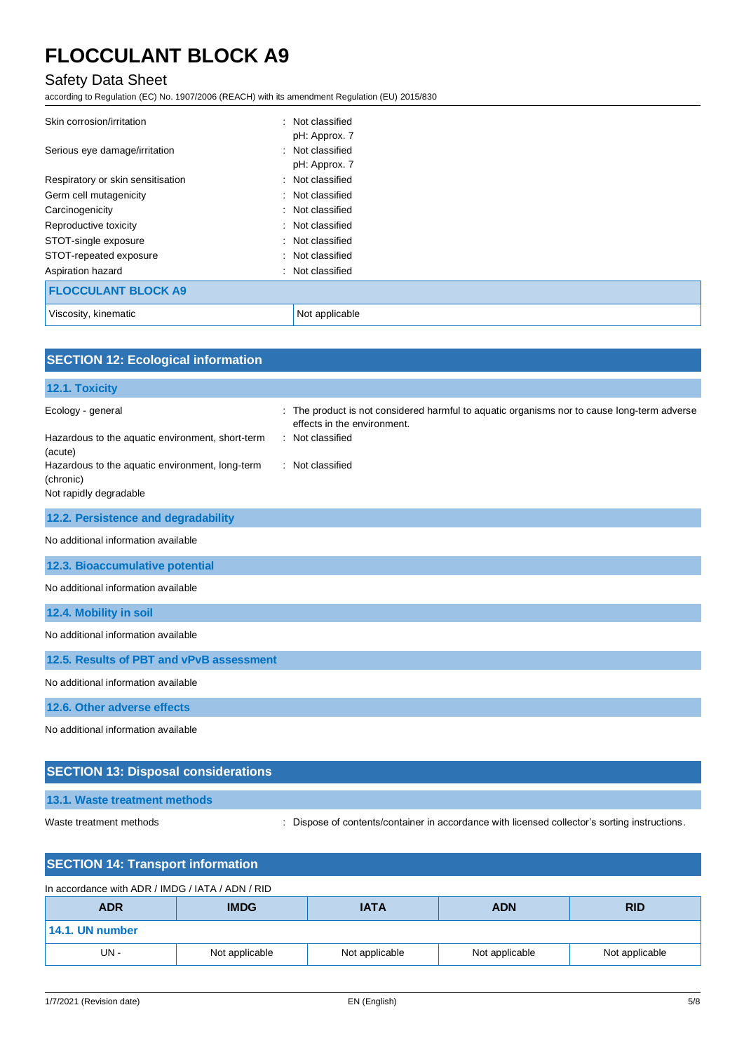# Safety Data Sheet

according to Regulation (EC) No. 1907/2006 (REACH) with its amendment Regulation (EU) 2015/830

| Skin corrosion/irritation         | : Not classified |  |
|-----------------------------------|------------------|--|
|                                   | pH: Approx. 7    |  |
| Serious eye damage/irritation     | : Not classified |  |
|                                   | pH: Approx. 7    |  |
| Respiratory or skin sensitisation | : Not classified |  |
| Germ cell mutagenicity            | : Not classified |  |
| Carcinogenicity                   | : Not classified |  |
| Reproductive toxicity             | : Not classified |  |
| STOT-single exposure              | : Not classified |  |
| STOT-repeated exposure            | : Not classified |  |
| Aspiration hazard                 | : Not classified |  |
| <b>FLOCCULANT BLOCK A9</b>        |                  |  |
| Viscosity, kinematic              | Not applicable   |  |

| <b>SECTION 12: Ecological information</b>                    |                                                                                                                            |
|--------------------------------------------------------------|----------------------------------------------------------------------------------------------------------------------------|
| 12.1. Toxicity                                               |                                                                                                                            |
| Ecology - general                                            | : The product is not considered harmful to aquatic organisms nor to cause long-term adverse<br>effects in the environment. |
| Hazardous to the aquatic environment, short-term<br>(acute)  | : Not classified                                                                                                           |
| Hazardous to the aquatic environment, long-term<br>(chronic) | : Not classified                                                                                                           |
| Not rapidly degradable                                       |                                                                                                                            |
| 12.2. Persistence and degradability                          |                                                                                                                            |
| No additional information available                          |                                                                                                                            |
| 12.3. Bioaccumulative potential                              |                                                                                                                            |
| No additional information available                          |                                                                                                                            |
| 12.4. Mobility in soil                                       |                                                                                                                            |
| No additional information available                          |                                                                                                                            |
| 12.5. Results of PBT and vPvB assessment                     |                                                                                                                            |
| No additional information available                          |                                                                                                                            |
| 12.6. Other adverse effects                                  |                                                                                                                            |
| No additional information available                          |                                                                                                                            |
| <b>SECTION 13: Disposal considerations</b>                   |                                                                                                                            |

# **13.1. Waste treatment methods**

Waste treatment methods : Dispose of contents/container in accordance with licensed collector's sorting instructions.

| <b>SECTION 14: Transport information</b>         |                                                        |                |                |                |
|--------------------------------------------------|--------------------------------------------------------|----------------|----------------|----------------|
| In accordance with ADR / IMDG / IATA / ADN / RID |                                                        |                |                |                |
| <b>ADR</b>                                       | <b>IMDG</b><br><b>IATA</b><br><b>RID</b><br><b>ADN</b> |                |                |                |
| 14.1. UN number                                  |                                                        |                |                |                |
| UN-                                              | Not applicable                                         | Not applicable | Not applicable | Not applicable |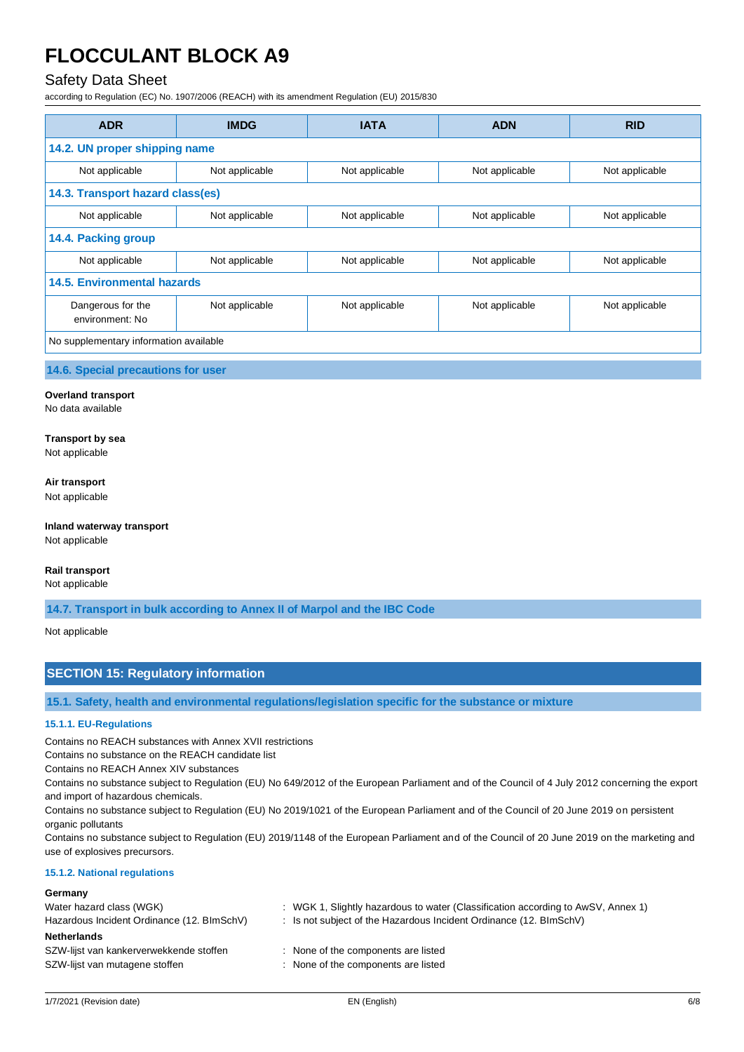# Safety Data Sheet

according to Regulation (EC) No. 1907/2006 (REACH) with its amendment Regulation (EU) 2015/830

| <b>ADR</b>                             | <b>IMDG</b>    | <b>IATA</b>    | <b>ADN</b>     | <b>RID</b>     |
|----------------------------------------|----------------|----------------|----------------|----------------|
| 14.2. UN proper shipping name          |                |                |                |                |
| Not applicable                         | Not applicable | Not applicable | Not applicable | Not applicable |
| 14.3. Transport hazard class(es)       |                |                |                |                |
| Not applicable                         | Not applicable | Not applicable | Not applicable | Not applicable |
| 14.4. Packing group                    |                |                |                |                |
| Not applicable                         | Not applicable | Not applicable | Not applicable | Not applicable |
| 14.5. Environmental hazards            |                |                |                |                |
| Dangerous for the<br>environment: No   | Not applicable | Not applicable | Not applicable | Not applicable |
| No supplementary information available |                |                |                |                |

**14.6. Special precautions for user**

# **Overland transport**

No data available

**Transport by sea** Not applicable

#### **Air transport** Not applicable

**Inland waterway transport** Not applicable

# **Rail transport**

Not applicable

**14.7. Transport in bulk according to Annex II of Marpol and the IBC Code**

Not applicable

# **SECTION 15: Regulatory information**

**15.1. Safety, health and environmental regulations/legislation specific for the substance or mixture**

### **15.1.1. EU-Regulations**

Contains no REACH substances with Annex XVII restrictions

Contains no substance on the REACH candidate list

Contains no REACH Annex XIV substances

Contains no substance subject to Regulation (EU) No 649/2012 of the European Parliament and of the Council of 4 July 2012 concerning the export and import of hazardous chemicals.

Contains no substance subject to Regulation (EU) No 2019/1021 of the European Parliament and of the Council of 20 June 2019 on persistent organic pollutants

Contains no substance subject to Regulation (EU) 2019/1148 of the European Parliament and of the Council of 20 June 2019 on the marketing and use of explosives precursors.

# **15.1.2. National regulations**

| : WGK 1, Slightly hazardous to water (Classification according to AwSV, Annex 1) |
|----------------------------------------------------------------------------------|
| : Is not subject of the Hazardous Incident Ordinance $(12. \text{BlmSchV})$      |
|                                                                                  |
| : None of the components are listed                                              |
| : None of the components are listed                                              |
|                                                                                  |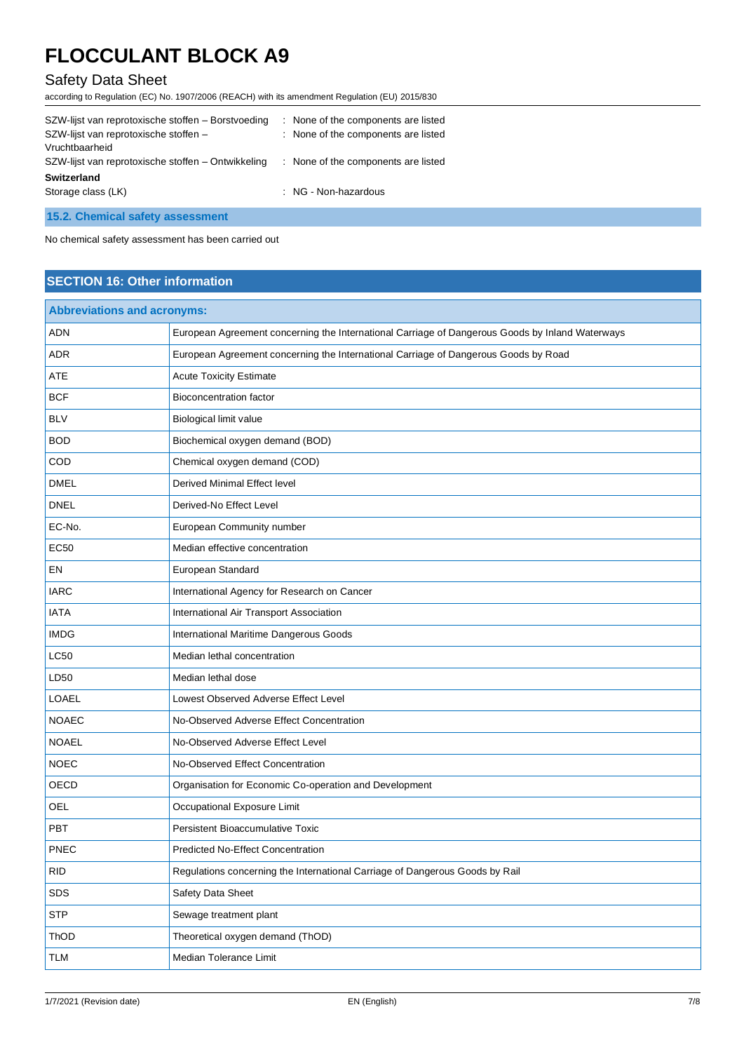# Safety Data Sheet

according to Regulation (EC) No. 1907/2006 (REACH) with its amendment Regulation (EU) 2015/830

| SZW-lijst van reprotoxische stoffen - Borstvoeding | : None of the components are listed |
|----------------------------------------------------|-------------------------------------|
| SZW-lijst van reprotoxische stoffen -              | : None of the components are listed |
| Vruchtbaarheid                                     |                                     |
| SZW-lijst van reprotoxische stoffen - Ontwikkeling | : None of the components are listed |
| <b>Switzerland</b>                                 |                                     |
| Storage class (LK)                                 | : NG - Non-hazardous                |
|                                                    |                                     |

**15.2. Chemical safety assessment**

No chemical safety assessment has been carried out

# **SECTION 16: Other information**

| <b>Abbreviations and acronyms:</b> |                                                                                                 |
|------------------------------------|-------------------------------------------------------------------------------------------------|
| <b>ADN</b>                         | European Agreement concerning the International Carriage of Dangerous Goods by Inland Waterways |
| <b>ADR</b>                         | European Agreement concerning the International Carriage of Dangerous Goods by Road             |
| <b>ATE</b>                         | <b>Acute Toxicity Estimate</b>                                                                  |
| <b>BCF</b>                         | <b>Bioconcentration factor</b>                                                                  |
| <b>BLV</b>                         | Biological limit value                                                                          |
| <b>BOD</b>                         | Biochemical oxygen demand (BOD)                                                                 |
| COD                                | Chemical oxygen demand (COD)                                                                    |
| <b>DMEL</b>                        | Derived Minimal Effect level                                                                    |
| <b>DNEL</b>                        | Derived-No Effect Level                                                                         |
| EC-No.                             | European Community number                                                                       |
| <b>EC50</b>                        | Median effective concentration                                                                  |
| EN                                 | European Standard                                                                               |
| <b>IARC</b>                        | International Agency for Research on Cancer                                                     |
| <b>IATA</b>                        | International Air Transport Association                                                         |
| <b>IMDG</b>                        | International Maritime Dangerous Goods                                                          |
| <b>LC50</b>                        | Median lethal concentration                                                                     |
| LD50                               | Median lethal dose                                                                              |
| <b>LOAEL</b>                       | Lowest Observed Adverse Effect Level                                                            |
| <b>NOAEC</b>                       | No-Observed Adverse Effect Concentration                                                        |
| <b>NOAEL</b>                       | No-Observed Adverse Effect Level                                                                |
| <b>NOEC</b>                        | No-Observed Effect Concentration                                                                |
| OECD                               | Organisation for Economic Co-operation and Development                                          |
| OEL                                | Occupational Exposure Limit                                                                     |
| PBT                                | Persistent Bioaccumulative Toxic                                                                |
| <b>PNEC</b>                        | <b>Predicted No-Effect Concentration</b>                                                        |
| <b>RID</b>                         | Regulations concerning the International Carriage of Dangerous Goods by Rail                    |
| SDS                                | Safety Data Sheet                                                                               |
| <b>STP</b>                         | Sewage treatment plant                                                                          |
| ThOD                               | Theoretical oxygen demand (ThOD)                                                                |
| <b>TLM</b>                         | Median Tolerance Limit                                                                          |